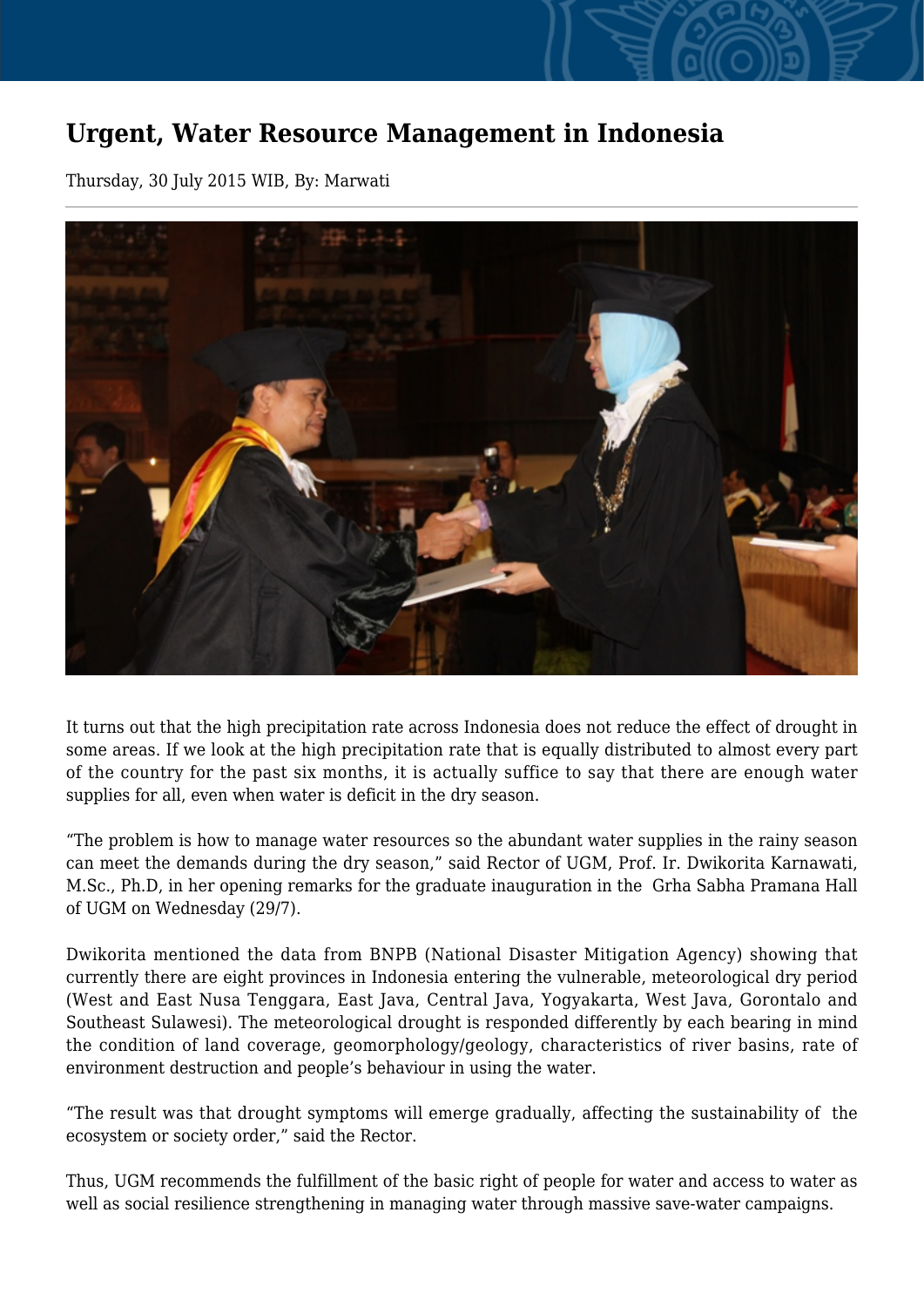## **Urgent, Water Resource Management in Indonesia**

Thursday, 30 July 2015 WIB, By: Marwati



It turns out that the high precipitation rate across Indonesia does not reduce the effect of drought in some areas. If we look at the high precipitation rate that is equally distributed to almost every part of the country for the past six months, it is actually suffice to say that there are enough water supplies for all, even when water is deficit in the dry season.

"The problem is how to manage water resources so the abundant water supplies in the rainy season can meet the demands during the dry season," said Rector of UGM, Prof. Ir. Dwikorita Karnawati, M.Sc., Ph.D, in her opening remarks for the graduate inauguration in the Grha Sabha Pramana Hall of UGM on Wednesday (29/7).

Dwikorita mentioned the data from BNPB (National Disaster Mitigation Agency) showing that currently there are eight provinces in Indonesia entering the vulnerable, meteorological dry period (West and East Nusa Tenggara, East Java, Central Java, Yogyakarta, West Java, Gorontalo and Southeast Sulawesi). The meteorological drought is responded differently by each bearing in mind the condition of land coverage, geomorphology/geology, characteristics of river basins, rate of environment destruction and people's behaviour in using the water.

"The result was that drought symptoms will emerge gradually, affecting the sustainability of the ecosystem or society order," said the Rector.

Thus, UGM recommends the fulfillment of the basic right of people for water and access to water as well as social resilience strengthening in managing water through massive save-water campaigns.